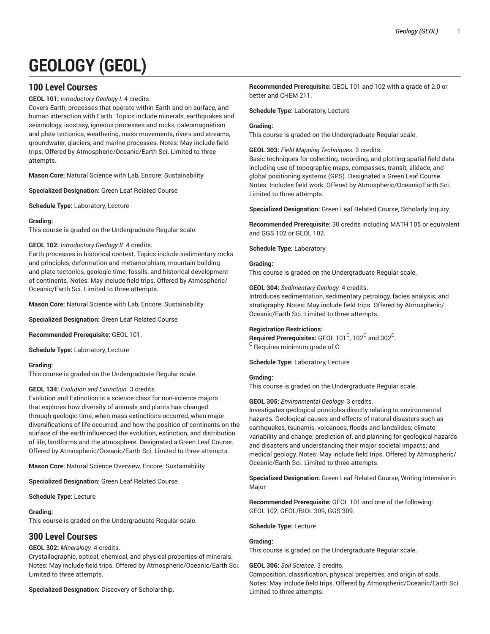# **GEOLOGY (GEOL)**

# **100 Level Courses**

**GEOL 101:** *Introductory Geology I.* 4 credits.

Covers Earth, processes that operate within Earth and on surface, and human interaction with Earth. Topics include minerals, earthquakes and seismology, isostasy, igneous processes and rocks, paleomagnetism and plate tectonics, weathering, mass movements, rivers and streams, groundwater, glaciers, and marine processes. Notes: May include field trips. Offered by Atmospheric/Oceanic/Earth Sci. Limited to three attempts.

**Mason Core:** Natural Science with Lab, Encore: Sustainability

**Specialized Designation:** Green Leaf Related Course

**Schedule Type:** Laboratory, Lecture

# **Grading:**

This course is graded on the Undergraduate Regular scale.

# **GEOL 102:** *Introductory Geology II.* 4 credits.

Earth processes in historical context. Topics include sedimentary rocks and principles, deformation and metamorphism, mountain building and plate tectonics, geologic time, fossils, and historical development of continents. Notes: May include field trips. Offered by Atmospheric/ Oceanic/Earth Sci. Limited to three attempts.

**Mason Core:** Natural Science with Lab, Encore: Sustainability

**Specialized Designation:** Green Leaf Related Course

**Recommended Prerequisite:** GEOL 101.

**Schedule Type:** Laboratory, Lecture

# **Grading:**

This course is graded on the Undergraduate Regular scale.

# **GEOL 134:** *Evolution and Extinction.* 3 credits.

Evolution and Extinction is a science class for non-science majors that explores how diversity of animals and plants has changed through geologic time, when mass extinctions occurred, when major diversifications of life occurred, and how the position of continents on the surface of the earth influenced the evolution, extinction, and distribution of life, landforms and the atmosphere. Designated a Green Leaf Course. Offered by Atmospheric/Oceanic/Earth Sci. Limited to three attempts.

**Mason Core:** Natural Science Overview, Encore: Sustainability

**Specialized Designation:** Green Leaf Related Course

**Schedule Type:** Lecture

# **Grading:**

This course is graded on the Undergraduate Regular scale.

# **300 Level Courses**

# **GEOL 302:** *Mineralogy.* 4 credits.

Crystallographic, optical, chemical, and physical properties of minerals. Notes: May include field trips. Offered by Atmospheric/Oceanic/Earth Sci. Limited to three attempts.

**Specialized Designation:** Discovery of Scholarship.

**Recommended Prerequisite:** GEOL 101 and 102 with a grade of 2.0 or better and CHEM 211.

**Schedule Type:** Laboratory, Lecture

# **Grading:**

This course is graded on the Undergraduate Regular scale.

**GEOL 303:** *Field Mapping Techniques.* 3 credits.

Basic techniques for collecting, recording, and plotting spatial field data including use of topographic maps, compasses, transit, alidade, and global positioning systems (GPS). Designated a Green Leaf Course. Notes: Includes field work. Offered by Atmospheric/Oceanic/Earth Sci. Limited to three attempts.

**Specialized Designation:** Green Leaf Related Course, Scholarly Inquiry.

**Recommended Prerequisite:** 30 credits including MATH 105 or equivalent and GGS 102 or GEOL 102.

**Schedule Type:** Laboratory

# **Grading:**

This course is graded on the Undergraduate Regular scale.

**GEOL 304:** *Sedimentary Geology.* 4 credits.

Introduces sedimentation, sedimentary petrology, facies analysis, and stratigraphy. Notes: May include field trips. Offered by Atmospheric/ Oceanic/Earth Sci. Limited to three attempts.

# **Registration Restrictions:**

 $\bm{\mathsf{Required} }$  Prerequisites: <code>GEOL 101 $\mathrm{^C}$ , 102 $\mathrm{^C}$ </code> and 302 $\mathrm{^C}$ . <sup>C</sup> Requires minimum grade of C.

**Schedule Type:** Laboratory, Lecture

# **Grading:**

This course is graded on the Undergraduate Regular scale.

# **GEOL 305:** *Environmental Geology.* 3 credits.

Investigates geological principles directly relating to environmental hazards. Geological causes and effects of natural disasters such as earthquakes, tsunamis, volcanoes, floods and landslides; climate variability and change; prediction of, and planning for geological hazards and disasters and understanding their major societal impacts; and medical geology. Notes: May include field trips. Offered by Atmospheric/ Oceanic/Earth Sci. Limited to three attempts.

**Specialized Designation:** Green Leaf Related Course, Writing Intensive in Major

**Recommended Prerequisite:** GEOL 101 and one of the following: GEOL 102, GEOL/BIOL 309, GGS 309.

**Schedule Type:** Lecture

# **Grading:**

This course is graded on the Undergraduate Regular scale.

# **GEOL 306:** *Soil Science.* 3 credits.

Composition, classification, physical properties, and origin of soils. Notes: May include field trips. Offered by Atmospheric/Oceanic/Earth Sci. Limited to three attempts.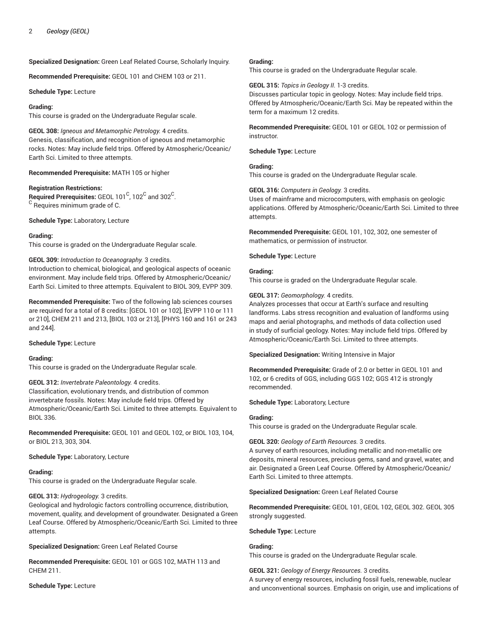**Specialized Designation:** Green Leaf Related Course, Scholarly Inquiry.

**Recommended Prerequisite:** GEOL 101 and CHEM 103 or 211.

**Schedule Type:** Lecture

# **Grading:**

This course is graded on the Undergraduate Regular scale.

**GEOL 308:** *Igneous and Metamorphic Petrology.* 4 credits. Genesis, classification, and recognition of igneous and metamorphic rocks. Notes: May include field trips. Offered by Atmospheric/Oceanic/ Earth Sci. Limited to three attempts.

**Recommended Prerequisite:** MATH 105 or higher

# **Registration Restrictions:**

 $\bm{\mathsf{Required} }$  Prerequisites: <code>GEOL 101 $\mathrm{^C}$ , 102 $\mathrm{^C}$ </code> and 302 $\mathrm{^C}$ .  $\rm ^C$  Requires minimum grade of C.

**Schedule Type:** Laboratory, Lecture

# **Grading:**

This course is graded on the Undergraduate Regular scale.

# **GEOL 309:** *Introduction to Oceanography.* 3 credits.

Introduction to chemical, biological, and geological aspects of oceanic environment. May include field trips. Offered by Atmospheric/Oceanic/ Earth Sci. Limited to three attempts. Equivalent to BIOL 309, EVPP 309.

**Recommended Prerequisite:** Two of the following lab sciences courses are required for a total of 8 credits: [GEOL 101 or 102], [EVPP 110 or 111 or 210], CHEM 211 and 213, [BIOL 103 or 213], [PHYS 160 and 161 or 243 and 244].

# **Schedule Type:** Lecture

# **Grading:**

This course is graded on the Undergraduate Regular scale.

# **GEOL 312:** *Invertebrate Paleontology.* 4 credits.

Classification, evolutionary trends, and distribution of common invertebrate fossils. Notes: May include field trips. Offered by Atmospheric/Oceanic/Earth Sci. Limited to three attempts. Equivalent to BIOL 336.

**Recommended Prerequisite:** GEOL 101 and GEOL 102, or BIOL 103, 104, or BIOL 213, 303, 304.

# **Schedule Type:** Laboratory, Lecture

# **Grading:**

This course is graded on the Undergraduate Regular scale.

# **GEOL 313:** *Hydrogeology.* 3 credits.

Geological and hydrologic factors controlling occurrence, distribution, movement, quality, and development of groundwater. Designated a Green Leaf Course. Offered by Atmospheric/Oceanic/Earth Sci. Limited to three attempts.

**Specialized Designation:** Green Leaf Related Course

**Recommended Prerequisite:** GEOL 101 or GGS 102, MATH 113 and CHEM 211.

**Schedule Type:** Lecture

# **Grading:**

This course is graded on the Undergraduate Regular scale.

**GEOL 315:** *Topics in Geology II.* 1-3 credits.

Discusses particular topic in geology. Notes: May include field trips. Offered by Atmospheric/Oceanic/Earth Sci. May be repeated within the term for a maximum 12 credits.

**Recommended Prerequisite:** GEOL 101 or GEOL 102 or permission of instructor.

**Schedule Type:** Lecture

# **Grading:**

This course is graded on the Undergraduate Regular scale.

**GEOL 316:** *Computers in Geology.* 3 credits.

Uses of mainframe and microcomputers, with emphasis on geologic applications. Offered by Atmospheric/Oceanic/Earth Sci. Limited to three attempts.

**Recommended Prerequisite:** GEOL 101, 102, 302, one semester of mathematics, or permission of instructor.

**Schedule Type:** Lecture

#### **Grading:** This course is graded on the Undergraduate Regular scale.

# **GEOL 317:** *Geomorphology.* 4 credits.

Analyzes processes that occur at Earth's surface and resulting landforms. Labs stress recognition and evaluation of landforms using maps and aerial photographs, and methods of data collection used in study of surficial geology. Notes: May include field trips. Offered by Atmospheric/Oceanic/Earth Sci. Limited to three attempts.

**Specialized Designation:** Writing Intensive in Major

**Recommended Prerequisite:** Grade of 2.0 or better in GEOL 101 and 102, or 6 credits of GGS, including GGS 102; GGS 412 is strongly recommended.

**Schedule Type:** Laboratory, Lecture

# **Grading:**

This course is graded on the Undergraduate Regular scale.

# **GEOL 320:** *Geology of Earth Resources.* 3 credits.

A survey of earth resources, including metallic and non-metallic ore deposits, mineral resources, precious gems, sand and gravel, water, and air. Designated a Green Leaf Course. Offered by Atmospheric/Oceanic/ Earth Sci. Limited to three attempts.

# **Specialized Designation:** Green Leaf Related Course

**Recommended Prerequisite:** GEOL 101, GEOL 102, GEOL 302. GEOL 305 strongly suggested.

# **Schedule Type:** Lecture

# **Grading:**

This course is graded on the Undergraduate Regular scale.

# **GEOL 321:** *Geology of Energy Resources.* 3 credits.

A survey of energy resources, including fossil fuels, renewable, nuclear and unconventional sources. Emphasis on origin, use and implications of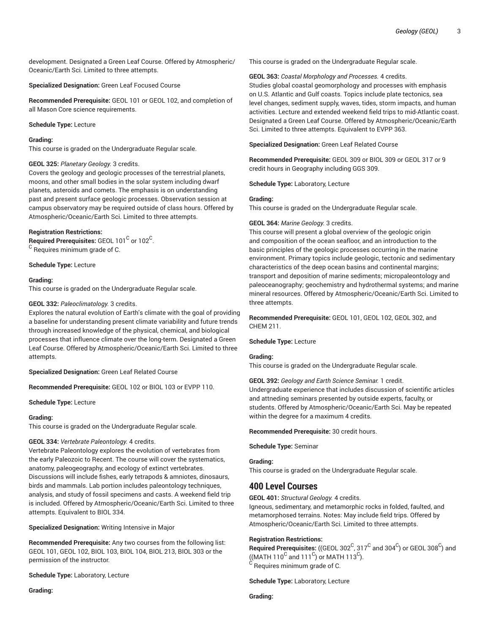development. Designated a Green Leaf Course. Offered by Atmospheric/ Oceanic/Earth Sci. Limited to three attempts.

**Specialized Designation:** Green Leaf Focused Course

**Recommended Prerequisite:** GEOL 101 or GEOL 102, and completion of all Mason Core science requirements.

**Schedule Type:** Lecture

# **Grading:**

This course is graded on the Undergraduate Regular scale.

# **GEOL 325:** *Planetary Geology.* 3 credits.

Covers the geology and geologic processes of the terrestrial planets, moons, and other small bodies in the solar system including dwarf planets, asteroids and comets. The emphasis is on understanding past and present surface geologic processes. Observation session at campus observatory may be required outside of class hours. Offered by Atmospheric/Oceanic/Earth Sci. Limited to three attempts.

# **Registration Restrictions:**

 $\bm{\mathsf{Required} }$  Prerequisites: <code>GEOL</code> 101 $^{\mathsf{C}}$  or 102 $^{\mathsf{C}}$ . <sup>C</sup> Requires minimum grade of C.

**Schedule Type:** Lecture

# **Grading:**

This course is graded on the Undergraduate Regular scale.

# **GEOL 332:** *Paleoclimatology.* 3 credits.

Explores the natural evolution of Earth's climate with the goal of providing a baseline for understanding present climate variability and future trends through increased knowledge of the physical, chemical, and biological processes that influence climate over the long-term. Designated a Green Leaf Course. Offered by Atmospheric/Oceanic/Earth Sci. Limited to three attempts.

**Specialized Designation:** Green Leaf Related Course

**Recommended Prerequisite:** GEOL 102 or BIOL 103 or EVPP 110.

**Schedule Type:** Lecture

# **Grading:**

This course is graded on the Undergraduate Regular scale.

# **GEOL 334:** *Vertebrate Paleontology.* 4 credits.

Vertebrate Paleontology explores the evolution of vertebrates from the early Paleozoic to Recent. The course will cover the systematics, anatomy, paleogeography, and ecology of extinct vertebrates. Discussions will include fishes, early tetrapods & amniotes, dinosaurs, birds and mammals. Lab portion includes paleontology techniques, analysis, and study of fossil specimens and casts. A weekend field trip is included. Offered by Atmospheric/Oceanic/Earth Sci. Limited to three attempts. Equivalent to BIOL 334.

**Specialized Designation:** Writing Intensive in Major

**Recommended Prerequisite:** Any two courses from the following list: GEOL 101, GEOL 102, BIOL 103, BIOL 104, BIOL 213, BIOL 303 or the permission of the instructor.

**Schedule Type:** Laboratory, Lecture

**Grading:**

This course is graded on the Undergraduate Regular scale.

**GEOL 363:** *Coastal Morphology and Processes.* 4 credits.

Studies global coastal geomorphology and processes with emphasis on U.S. Atlantic and Gulf coasts. Topics include plate tectonics, sea level changes, sediment supply, waves, tides, storm impacts, and human activities. Lecture and extended weekend field trips to mid-Atlantic coast. Designated a Green Leaf Course. Offered by Atmospheric/Oceanic/Earth Sci. Limited to three attempts. Equivalent to EVPP 363.

**Specialized Designation:** Green Leaf Related Course

**Recommended Prerequisite:** GEOL 309 or BIOL 309 or GEOL 317 or 9 credit hours in Geography including GGS 309.

**Schedule Type:** Laboratory, Lecture

# **Grading:**

This course is graded on the Undergraduate Regular scale.

# **GEOL 364:** *Marine Geology.* 3 credits.

This course will present a global overview of the geologic origin and composition of the ocean seafloor, and an introduction to the basic principles of the geologic processes occurring in the marine environment. Primary topics include geologic, tectonic and sedimentary characteristics of the deep ocean basins and continental margins; transport and deposition of marine sediments; micropaleontology and paleoceanography; geochemistry and hydrothermal systems; and marine mineral resources. Offered by Atmospheric/Oceanic/Earth Sci. Limited to three attempts.

**Recommended Prerequisite:** GEOL 101, GEOL 102, GEOL 302, and CHEM 211.

# **Schedule Type:** Lecture

# **Grading:**

This course is graded on the Undergraduate Regular scale.

**GEOL 392:** *Geology and Earth Science Seminar.* 1 credit. Undergraduate experience that includes discussion of scientific articles and attneding seminars presented by outside experts, faculty, or students. Offered by Atmospheric/Oceanic/Earth Sci. May be repeated within the degree for a maximum 4 credits.

**Recommended Prerequisite:** 30 credit hours.

**Schedule Type:** Seminar

# **Grading:**

This course is graded on the Undergraduate Regular scale.

# **400 Level Courses**

**GEOL 401:** *Structural Geology.* 4 credits.

Igneous, sedimentary, and metamorphic rocks in folded, faulted, and metamorphosed terrains. Notes: May include field trips. Offered by Atmospheric/Oceanic/Earth Sci. Limited to three attempts.

# **Registration Restrictions:**

 $\bf{Required \textit{Prerequisite:}}$  ((GEOL 302 $^C$ , 317 $^C$  and 304 $^C$ ) or GEOL 308 $^C$ ) and ((MATH 110<sup>C</sup> and 111<sup>C</sup>) or MATH 113<sup>C</sup>).  $^{\rm C}$  Requires minimum grade of C.

**Schedule Type:** Laboratory, Lecture

**Grading:**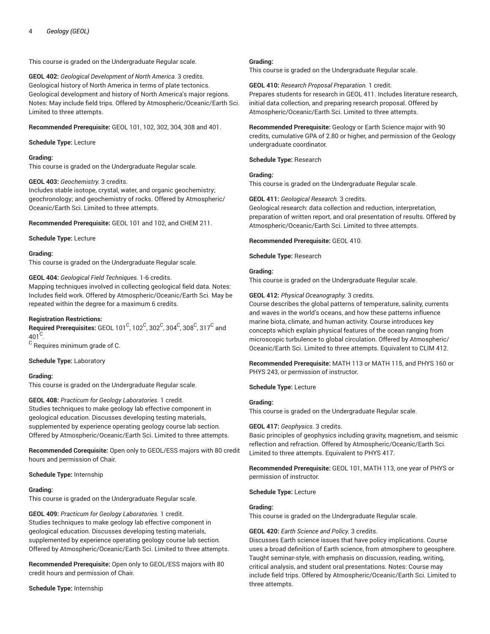This course is graded on the Undergraduate Regular scale.

**GEOL 402:** *Geological Development of North America.* 3 credits. Geological history of North America in terms of plate tectonics. Geological development and history of North America's major regions. Notes: May include field trips. Offered by Atmospheric/Oceanic/Earth Sci. Limited to three attempts.

**Recommended Prerequisite:** GEOL 101, 102, 302, 304, 308 and 401.

# **Schedule Type:** Lecture

# **Grading:**

This course is graded on the Undergraduate Regular scale.

# **GEOL 403:** *Geochemistry.* 3 credits.

Includes stable isotope, crystal, water, and organic geochemistry; geochronology; and geochemistry of rocks. Offered by Atmospheric/ Oceanic/Earth Sci. Limited to three attempts.

**Recommended Prerequisite:** GEOL 101 and 102, and CHEM 211.

**Schedule Type:** Lecture

# **Grading:**

This course is graded on the Undergraduate Regular scale.

# **GEOL 404:** *Geological Field Techniques.* 1-6 credits.

Mapping techniques involved in collecting geological field data. Notes: Includes field work. Offered by Atmospheric/Oceanic/Earth Sci. May be repeated within the degree for a maximum 6 credits.

# **Registration Restrictions:**

 $\bf{Required\ Pre requires:}$  GEOL 101  $^{\rm C}$ , 102  $^{\rm C}$ , 302  $^{\rm C}$ , 304  $^{\rm C}$ , 308  $^{\rm C}$ , 317  $^{\rm C}$  and  $401^\circ$ .

 $^{\rm C}$  Requires minimum grade of C.

# **Schedule Type:** Laboratory

# **Grading:**

This course is graded on the Undergraduate Regular scale.

# **GEOL 408:** *Practicum for Geology Laboratories.* 1 credit.

Studies techniques to make geology lab effective component in geological education. Discusses developing testing materials, supplemented by experience operating geology course lab section. Offered by Atmospheric/Oceanic/Earth Sci. Limited to three attempts.

**Recommended Corequisite:** Open only to GEOL/ESS majors with 80 credit hours and permission of Chair.

# **Schedule Type:** Internship

# **Grading:**

This course is graded on the Undergraduate Regular scale.

**GEOL 409:** *Practicum for Geology Laboratories.* 1 credit. Studies techniques to make geology lab effective component in geological education. Discusses developing testing materials, supplemented by experience operating geology course lab section. Offered by Atmospheric/Oceanic/Earth Sci. Limited to three attempts.

**Recommended Prerequisite:** Open only to GEOL/ESS majors with 80 credit hours and permission of Chair.

**Schedule Type:** Internship

# **Grading:**

This course is graded on the Undergraduate Regular scale.

**GEOL 410:** *Research Proposal Preparation.* 1 credit. Prepares students for research in GEOL 411. Includes literature research, initial data collection, and preparing research proposal. Offered by Atmospheric/Oceanic/Earth Sci. Limited to three attempts.

**Recommended Prerequisite:** Geology or Earth Science major with 90 credits, cumulative GPA of 2.80 or higher, and permission of the Geology undergraduate coordinator.

# **Schedule Type:** Research

# **Grading:**

This course is graded on the Undergraduate Regular scale.

# **GEOL 411:** *Geological Research.* 3 credits.

Geological research: data collection and reduction, interpretation, preparation of written report, and oral presentation of results. Offered by Atmospheric/Oceanic/Earth Sci. Limited to three attempts.

**Recommended Prerequisite:** GEOL 410.

**Schedule Type:** Research

# **Grading:**

This course is graded on the Undergraduate Regular scale.

# **GEOL 412:** *Physical Oceanography.* 3 credits.

Course describes the global patterns of temperature, salinity, currents and waves in the world's oceans, and how these patterns influence marine biota, climate, and human activity. Course introduces key concepts which explain physical features of the ocean ranging from microscopic turbulence to global circulation. Offered by Atmospheric/ Oceanic/Earth Sci. Limited to three attempts. Equivalent to CLIM 412.

**Recommended Prerequisite:** MATH 113 or MATH 115, and PHYS 160 or PHYS 243, or permission of instructor.

**Schedule Type:** Lecture

# **Grading:**

This course is graded on the Undergraduate Regular scale.

# **GEOL 417:** *Geophysics.* 3 credits.

Basic principles of geophysics including gravity, magnetism, and seismic reflection and refraction. Offered by Atmospheric/Oceanic/Earth Sci. Limited to three attempts. Equivalent to PHYS 417.

**Recommended Prerequisite:** GEOL 101, MATH 113, one year of PHYS or permission of instructor.

# **Schedule Type:** Lecture

# **Grading:**

This course is graded on the Undergraduate Regular scale.

# **GEOL 420:** *Earth Science and Policy.* 3 credits.

Discusses Earth science issues that have policy implications. Course uses a broad definition of Earth science, from atmosphere to geosphere. Taught seminar-style, with emphasis on discussion, reading, writing, critical analysis, and student oral presentations. Notes: Course may include field trips. Offered by Atmospheric/Oceanic/Earth Sci. Limited to three attempts.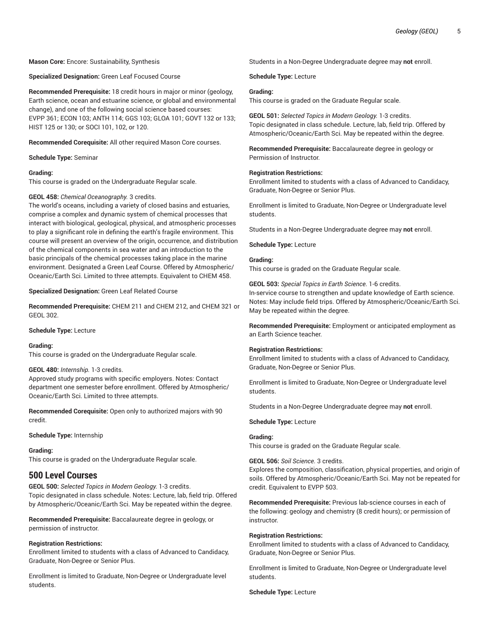**Mason Core:** Encore: Sustainability, Synthesis

**Specialized Designation:** Green Leaf Focused Course

**Recommended Prerequisite:** 18 credit hours in major or minor (geology, Earth science, ocean and estuarine science, or global and environmental change), and one of the following social science based courses: EVPP 361; ECON 103; ANTH 114; GGS 103; GLOA 101; GOVT 132 or 133; HIST 125 or 130; or SOCI 101, 102, or 120.

**Recommended Corequisite:** All other required Mason Core courses.

**Schedule Type:** Seminar

#### **Grading:**

This course is graded on the Undergraduate Regular scale.

# **GEOL 458:** *Chemical Oceanography.* 3 credits.

The world's oceans, including a variety of closed basins and estuaries, comprise a complex and dynamic system of chemical processes that interact with biological, geological, physical, and atmospheric processes to play a significant role in defining the earth's fragile environment. This course will present an overview of the origin, occurrence, and distribution of the chemical components in sea water and an introduction to the basic principals of the chemical processes taking place in the marine environment. Designated a Green Leaf Course. Offered by Atmospheric/ Oceanic/Earth Sci. Limited to three attempts. Equivalent to CHEM 458.

#### **Specialized Designation:** Green Leaf Related Course

**Recommended Prerequisite:** CHEM 211 and CHEM 212, and CHEM 321 or GEOL 302.

**Schedule Type:** Lecture

#### **Grading:**

This course is graded on the Undergraduate Regular scale.

#### **GEOL 480:** *Internship.* 1-3 credits.

Approved study programs with specific employers. Notes: Contact department one semester before enrollment. Offered by Atmospheric/ Oceanic/Earth Sci. Limited to three attempts.

**Recommended Corequisite:** Open only to authorized majors with 90 credit.

**Schedule Type:** Internship

# **Grading:**

This course is graded on the Undergraduate Regular scale.

# **500 Level Courses**

**GEOL 500:** *Selected Topics in Modern Geology.* 1-3 credits. Topic designated in class schedule. Notes: Lecture, lab, field trip. Offered by Atmospheric/Oceanic/Earth Sci. May be repeated within the degree.

**Recommended Prerequisite:** Baccalaureate degree in geology, or permission of instructor.

# **Registration Restrictions:**

Enrollment limited to students with a class of Advanced to Candidacy, Graduate, Non-Degree or Senior Plus.

Enrollment is limited to Graduate, Non-Degree or Undergraduate level students.

Students in a Non-Degree Undergraduate degree may **not** enroll.

#### **Schedule Type:** Lecture

# **Grading:**

This course is graded on the Graduate Regular scale.

**GEOL 501:** *Selected Topics in Modern Geology.* 1-3 credits. Topic designated in class schedule. Lecture, lab, field trip. Offered by Atmospheric/Oceanic/Earth Sci. May be repeated within the degree.

**Recommended Prerequisite:** Baccalaureate degree in geology or Permission of Instructor.

#### **Registration Restrictions:**

Enrollment limited to students with a class of Advanced to Candidacy, Graduate, Non-Degree or Senior Plus.

Enrollment is limited to Graduate, Non-Degree or Undergraduate level students.

Students in a Non-Degree Undergraduate degree may **not** enroll.

**Schedule Type:** Lecture

#### **Grading:**

This course is graded on the Graduate Regular scale.

**GEOL 503:** *Special Topics in Earth Science.* 1-6 credits. In-service course to strengthen and update knowledge of Earth science. Notes: May include field trips. Offered by Atmospheric/Oceanic/Earth Sci. May be repeated within the degree.

**Recommended Prerequisite:** Employment or anticipated employment as an Earth Science teacher.

#### **Registration Restrictions:**

Enrollment limited to students with a class of Advanced to Candidacy, Graduate, Non-Degree or Senior Plus.

Enrollment is limited to Graduate, Non-Degree or Undergraduate level students.

Students in a Non-Degree Undergraduate degree may **not** enroll.

#### **Schedule Type:** Lecture

# **Grading:**

This course is graded on the Graduate Regular scale.

**GEOL 506:** *Soil Science.* 3 credits.

Explores the composition, classification, physical properties, and origin of soils. Offered by Atmospheric/Oceanic/Earth Sci. May not be repeated for credit. Equivalent to EVPP 503.

**Recommended Prerequisite:** Previous lab-science courses in each of the following: geology and chemistry (8 credit hours); or permission of instructor.

#### **Registration Restrictions:**

Enrollment limited to students with a class of Advanced to Candidacy, Graduate, Non-Degree or Senior Plus.

Enrollment is limited to Graduate, Non-Degree or Undergraduate level students.

**Schedule Type:** Lecture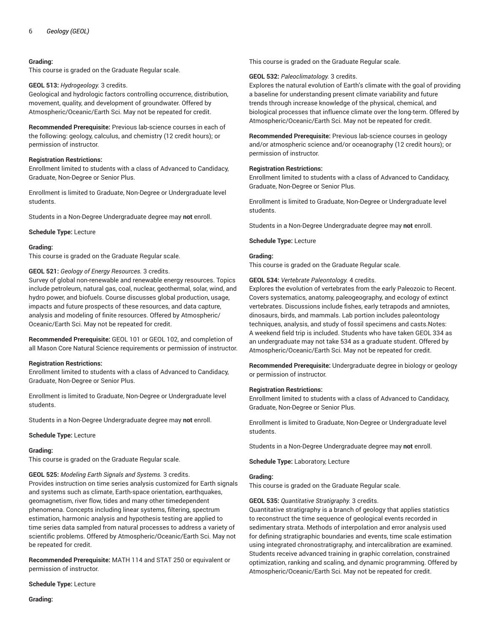# **Grading:**

This course is graded on the Graduate Regular scale.

#### **GEOL 513:** *Hydrogeology.* 3 credits.

Geological and hydrologic factors controlling occurrence, distribution, movement, quality, and development of groundwater. Offered by Atmospheric/Oceanic/Earth Sci. May not be repeated for credit.

**Recommended Prerequisite:** Previous lab-science courses in each of the following: geology, calculus, and chemistry (12 credit hours); or permission of instructor.

# **Registration Restrictions:**

Enrollment limited to students with a class of Advanced to Candidacy, Graduate, Non-Degree or Senior Plus.

Enrollment is limited to Graduate, Non-Degree or Undergraduate level students.

Students in a Non-Degree Undergraduate degree may **not** enroll.

**Schedule Type:** Lecture

#### **Grading:**

This course is graded on the Graduate Regular scale.

#### **GEOL 521:** *Geology of Energy Resources.* 3 credits.

Survey of global non-renewable and renewable energy resources. Topics include petroleum, natural gas, coal, nuclear, geothermal, solar, wind, and hydro power, and biofuels. Course discusses global production, usage, impacts and future prospects of these resources, and data capture, analysis and modeling of finite resources. Offered by Atmospheric/ Oceanic/Earth Sci. May not be repeated for credit.

**Recommended Prerequisite:** GEOL 101 or GEOL 102, and completion of all Mason Core Natural Science requirements or permission of instructor.

# **Registration Restrictions:**

Enrollment limited to students with a class of Advanced to Candidacy, Graduate, Non-Degree or Senior Plus.

Enrollment is limited to Graduate, Non-Degree or Undergraduate level students.

Students in a Non-Degree Undergraduate degree may **not** enroll.

**Schedule Type:** Lecture

# **Grading:**

This course is graded on the Graduate Regular scale.

**GEOL 525:** *Modeling Earth Signals and Systems.* 3 credits.

Provides instruction on time series analysis customized for Earth signals and systems such as climate, Earth-space orientation, earthquakes, geomagnetism, river flow, tides and many other timedependent phenomena. Concepts including linear systems, filtering, spectrum estimation, harmonic analysis and hypothesis testing are applied to time series data sampled from natural processes to address a variety of scientific problems. Offered by Atmospheric/Oceanic/Earth Sci. May not be repeated for credit.

**Recommended Prerequisite:** MATH 114 and STAT 250 or equivalent or permission of instructor.

**Schedule Type:** Lecture

This course is graded on the Graduate Regular scale.

#### **GEOL 532:** *Paleoclimatology.* 3 credits.

Explores the natural evolution of Earth's climate with the goal of providing a baseline for understanding present climate variability and future trends through increase knowledge of the physical, chemical, and biological processes that influence climate over the long-term. Offered by Atmospheric/Oceanic/Earth Sci. May not be repeated for credit.

**Recommended Prerequisite:** Previous lab-science courses in geology and/or atmospheric science and/or oceanography (12 credit hours); or permission of instructor.

#### **Registration Restrictions:**

Enrollment limited to students with a class of Advanced to Candidacy, Graduate, Non-Degree or Senior Plus.

Enrollment is limited to Graduate, Non-Degree or Undergraduate level students.

Students in a Non-Degree Undergraduate degree may **not** enroll.

#### **Schedule Type:** Lecture

# **Grading:**

This course is graded on the Graduate Regular scale.

**GEOL 534:** *Vertebrate Paleontology.* 4 credits.

Explores the evolution of vertebrates from the early Paleozoic to Recent. Covers systematics, anatomy, paleogeography, and ecology of extinct vertebrates. Discussions include fishes, early tetrapods and amniotes, dinosaurs, birds, and mammals. Lab portion includes paleontology techniques, analysis, and study of fossil specimens and casts.Notes: A weekend field trip is included. Students who have taken GEOL 334 as an undergraduate may not take 534 as a graduate student. Offered by Atmospheric/Oceanic/Earth Sci. May not be repeated for credit.

**Recommended Prerequisite:** Undergraduate degree in biology or geology or permission of instructor.

#### **Registration Restrictions:**

Enrollment limited to students with a class of Advanced to Candidacy, Graduate, Non-Degree or Senior Plus.

Enrollment is limited to Graduate, Non-Degree or Undergraduate level students.

Students in a Non-Degree Undergraduate degree may **not** enroll.

**Schedule Type:** Laboratory, Lecture

#### **Grading:**

This course is graded on the Graduate Regular scale.

# **GEOL 535:** *Quantitative Stratigraphy.* 3 credits.

Quantitative stratigraphy is a branch of geology that applies statistics to reconstruct the time sequence of geological events recorded in sedimentary strata. Methods of interpolation and error analysis used for defining stratigraphic boundaries and events, time scale estimation using integrated chronostratigraphy, and intercalibration are examined. Students receive advanced training in graphic correlation, constrained optimization, ranking and scaling, and dynamic programming. Offered by Atmospheric/Oceanic/Earth Sci. May not be repeated for credit.

**Grading:**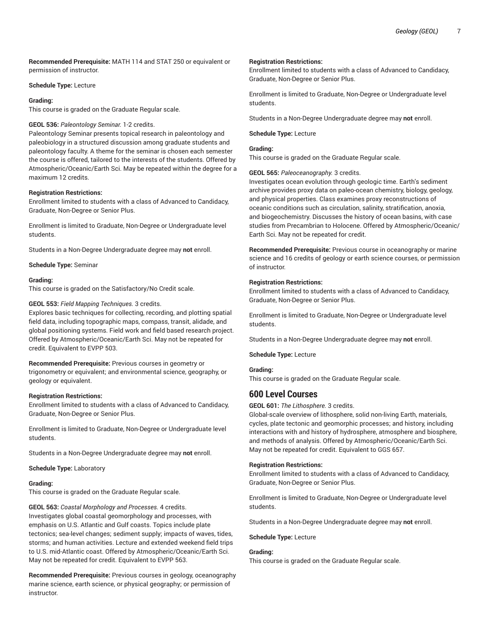**Recommended Prerequisite:** MATH 114 and STAT 250 or equivalent or permission of instructor.

#### **Schedule Type:** Lecture

#### **Grading:**

This course is graded on the Graduate Regular scale.

#### **GEOL 536:** *Paleontology Seminar.* 1-2 credits.

Paleontology Seminar presents topical research in paleontology and paleobiology in a structured discussion among graduate students and paleontology faculty. A theme for the seminar is chosen each semester the course is offered, tailored to the interests of the students. Offered by Atmospheric/Oceanic/Earth Sci. May be repeated within the degree for a maximum 12 credits.

# **Registration Restrictions:**

Enrollment limited to students with a class of Advanced to Candidacy, Graduate, Non-Degree or Senior Plus.

Enrollment is limited to Graduate, Non-Degree or Undergraduate level students.

Students in a Non-Degree Undergraduate degree may **not** enroll.

**Schedule Type:** Seminar

#### **Grading:**

This course is graded on the Satisfactory/No Credit scale.

# **GEOL 553:** *Field Mapping Techniques.* 3 credits.

Explores basic techniques for collecting, recording, and plotting spatial field data, including topographic maps, compass, transit, alidade, and global positioning systems. Field work and field based research project. Offered by Atmospheric/Oceanic/Earth Sci. May not be repeated for credit. Equivalent to EVPP 503.

**Recommended Prerequisite:** Previous courses in geometry or trigonometry or equivalent; and environmental science, geography, or geology or equivalent.

#### **Registration Restrictions:**

Enrollment limited to students with a class of Advanced to Candidacy, Graduate, Non-Degree or Senior Plus.

Enrollment is limited to Graduate, Non-Degree or Undergraduate level students.

Students in a Non-Degree Undergraduate degree may **not** enroll.

**Schedule Type:** Laboratory

# **Grading:**

This course is graded on the Graduate Regular scale.

**GEOL 563:** *Coastal Morphology and Processes.* 4 credits. Investigates global coastal geomorphology and processes, with emphasis on U.S. Atlantic and Gulf coasts. Topics include plate tectonics; sea-level changes; sediment supply; impacts of waves, tides, storms; and human activities. Lecture and extended weekend field trips to U.S. mid-Atlantic coast. Offered by Atmospheric/Oceanic/Earth Sci. May not be repeated for credit. Equivalent to EVPP 563.

**Recommended Prerequisite:** Previous courses in geology, oceanography marine science, earth science, or physical geography; or permission of instructor.

#### **Registration Restrictions:**

Enrollment limited to students with a class of Advanced to Candidacy, Graduate, Non-Degree or Senior Plus.

Enrollment is limited to Graduate, Non-Degree or Undergraduate level students.

Students in a Non-Degree Undergraduate degree may **not** enroll.

**Schedule Type:** Lecture

# **Grading:**

This course is graded on the Graduate Regular scale.

#### **GEOL 565:** *Paleoceanography.* 3 credits.

Investigates ocean evolution through geologic time. Earth's sediment archive provides proxy data on paleo-ocean chemistry, biology, geology, and physical properties. Class examines proxy reconstructions of oceanic conditions such as circulation, salinity, stratification, anoxia, and biogeochemistry. Discusses the history of ocean basins, with case studies from Precambrian to Holocene. Offered by Atmospheric/Oceanic/ Earth Sci. May not be repeated for credit.

**Recommended Prerequisite:** Previous course in oceanography or marine science and 16 credits of geology or earth science courses, or permission of instructor.

# **Registration Restrictions:**

Enrollment limited to students with a class of Advanced to Candidacy, Graduate, Non-Degree or Senior Plus.

Enrollment is limited to Graduate, Non-Degree or Undergraduate level students.

Students in a Non-Degree Undergraduate degree may **not** enroll.

**Schedule Type:** Lecture

# **Grading:**

This course is graded on the Graduate Regular scale.

# **600 Level Courses**

**GEOL 601:** *The Lithosphere.* 3 credits.

Global-scale overview of lithosphere, solid non-living Earth, materials, cycles, plate tectonic and geomorphic processes; and history, including interactions with and history of hydrosphere, atmosphere and biosphere, and methods of analysis. Offered by Atmospheric/Oceanic/Earth Sci. May not be repeated for credit. Equivalent to GGS 657.

# **Registration Restrictions:**

Enrollment limited to students with a class of Advanced to Candidacy, Graduate, Non-Degree or Senior Plus.

Enrollment is limited to Graduate, Non-Degree or Undergraduate level students.

Students in a Non-Degree Undergraduate degree may **not** enroll.

# **Schedule Type:** Lecture

# **Grading:**

This course is graded on the Graduate Regular scale.